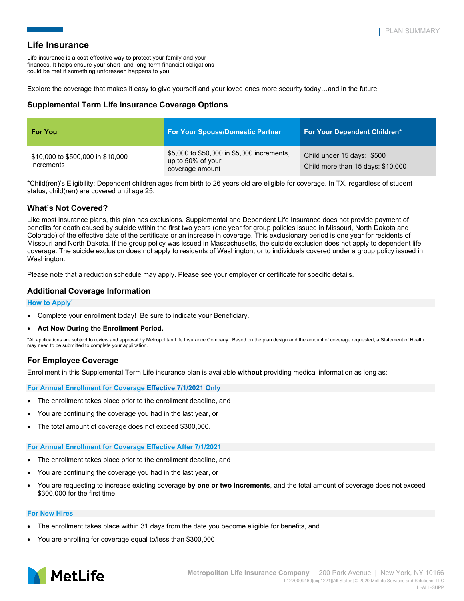Life insurance is a cost-effective way to protect your family and your finances. It helps ensure your short- and long-term financial obligations could be met if something unforeseen happens to you.

Explore the coverage that makes it easy to give yourself and your loved ones more security today…and in the future.

## **Supplemental Term Life Insurance Coverage Options**

| <b>For You</b>                                  | <b>For Your Spouse/Domestic Partner</b>                                            | <b>For Your Dependent Children*</b>                             |
|-------------------------------------------------|------------------------------------------------------------------------------------|-----------------------------------------------------------------|
| \$10,000 to \$500,000 in \$10,000<br>increments | \$5,000 to \$50,000 in \$5,000 increments,<br>up to 50% of your<br>coverage amount | Child under 15 days: \$500<br>Child more than 15 days: \$10,000 |

\*Child(ren)'s Eligibility: Dependent children ages from birth to 26 years old are eligible for coverage. In TX, regardless of student status, child(ren) are covered until age 25.

## **What's Not Covered?**

Like most insurance plans, this plan has exclusions. Supplemental and Dependent Life Insurance does not provide payment of benefits for death caused by suicide within the first two years (one year for group policies issued in Missouri, North Dakota and Colorado) of the effective date of the certificate or an increase in coverage. This exclusionary period is one year for residents of Missouri and North Dakota. If the group policy was issued in Massachusetts, the suicide exclusion does not apply to dependent life coverage. The suicide exclusion does not apply to residents of Washington, or to individuals covered under a group policy issued in Washington.

Please note that a reduction schedule may apply. Please see your employer or certificate for specific details.

## **Additional Coverage Information**

### **How to Apply\***

- Complete your enrollment today! Be sure to indicate your Beneficiary.
- **Act Now During the Enrollment Period.**

\*All applications are subject to review and approval by Metropolitan Life Insurance Company. Based on the plan design and the amount of coverage requested, a Statement of Health may need to be submitted to complete your application.

## **For Employee Coverage**

Enrollment in this Supplemental Term Life insurance plan is available **without** providing medical information as long as:

**For Annual Enrollment for Coverage Effective 7/1/2021 Only**

- The enrollment takes place prior to the enrollment deadline, and
- You are continuing the coverage you had in the last year, or
- The total amount of coverage does not exceed \$300,000.

### **For Annual Enrollment for Coverage Effective After 7/1/2021**

- The enrollment takes place prior to the enrollment deadline, and
- You are continuing the coverage you had in the last year, or
- You are requesting to increase existing coverage **by one or two increments**, and the total amount of coverage does not exceed \$300,000 for the first time.

### **For New Hires**

- The enrollment takes place within 31 days from the date you become eligible for benefits, and
- You are enrolling for coverage equal to/less than \$300,000

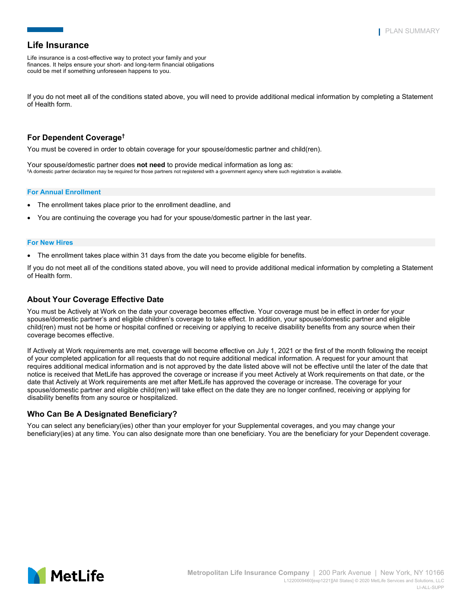Life insurance is a cost-effective way to protect your family and your finances. It helps ensure your short- and long-term financial obligations could be met if something unforeseen happens to you.

If you do not meet all of the conditions stated above, you will need to provide additional medical information by completing a Statement of Health form.

# **For Dependent Coverage†**

You must be covered in order to obtain coverage for your spouse/domestic partner and child(ren).

Your spouse/domestic partner does **not need** to provide medical information as long as: **†** A domestic partner declaration may be required for those partners not registered with a government agency where such registration is available.

#### **For Annual Enrollment**

- The enrollment takes place prior to the enrollment deadline, and
- You are continuing the coverage you had for your spouse/domestic partner in the last year.

#### **For New Hires**

• The enrollment takes place within 31 days from the date you become eligible for benefits.

If you do not meet all of the conditions stated above, you will need to provide additional medical information by completing a Statement of Health form.

## **About Your Coverage Effective Date**

You must be Actively at Work on the date your coverage becomes effective. Your coverage must be in effect in order for your spouse/domestic partner's and eligible children's coverage to take effect. In addition, your spouse/domestic partner and eligible child(ren) must not be home or hospital confined or receiving or applying to receive disability benefits from any source when their coverage becomes effective.

If Actively at Work requirements are met, coverage will become effective on July 1, 2021 or the first of the month following the receipt of your completed application for all requests that do not require additional medical information. A request for your amount that requires additional medical information and is not approved by the date listed above will not be effective until the later of the date that notice is received that MetLife has approved the coverage or increase if you meet Actively at Work requirements on that date, or the date that Actively at Work requirements are met after MetLife has approved the coverage or increase. The coverage for your spouse/domestic partner and eligible child(ren) will take effect on the date they are no longer confined, receiving or applying for disability benefits from any source or hospitalized.

### **Who Can Be A Designated Beneficiary?**

You can select any beneficiary(ies) other than your employer for your Supplemental coverages, and you may change your beneficiary(ies) at any time. You can also designate more than one beneficiary. You are the beneficiary for your Dependent coverage.

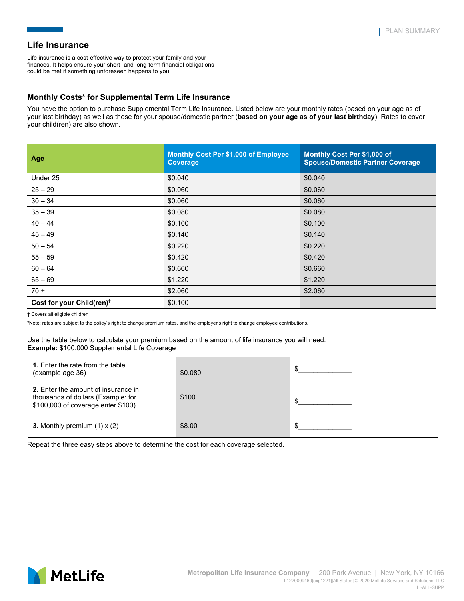Life insurance is a cost-effective way to protect your family and your finances. It helps ensure your short- and long-term financial obligations could be met if something unforeseen happens to you.

# **Monthly Costs\* for Supplemental Term Life Insurance**

You have the option to purchase Supplemental Term Life Insurance. Listed below are your monthly rates (based on your age as of your last birthday) as well as those for your spouse/domestic partner (**based on your age as of your last birthday**). Rates to cover your child(ren) are also shown.

| Age                                   | <b>Monthly Cost Per \$1,000 of Employee</b><br>Coverage | Monthly Cost Per \$1,000 of<br><b>Spouse/Domestic Partner Coverage</b> |
|---------------------------------------|---------------------------------------------------------|------------------------------------------------------------------------|
| Under 25                              | \$0.040                                                 | \$0.040                                                                |
| $25 - 29$                             | \$0.060                                                 | \$0.060                                                                |
| $30 - 34$                             | \$0.060                                                 | \$0.060                                                                |
| $35 - 39$                             | \$0.080                                                 | \$0.080                                                                |
| $40 - 44$                             | \$0.100                                                 | \$0.100                                                                |
| $45 - 49$                             | \$0.140                                                 | \$0.140                                                                |
| $50 - 54$                             | \$0.220                                                 | \$0.220                                                                |
| $55 - 59$                             | \$0.420                                                 | \$0.420                                                                |
| $60 - 64$                             | \$0.660                                                 | \$0.660                                                                |
| $65 - 69$                             | \$1.220                                                 | \$1.220                                                                |
| $70 +$                                | \$2.060                                                 | \$2.060                                                                |
| Cost for your Child(ren) <sup>t</sup> | \$0.100                                                 |                                                                        |

† Covers all eligible children

\*Note: rates are subject to the policy's right to change premium rates, and the employer's right to change employee contributions.

Use the table below to calculate your premium based on the amount of life insurance you will need. **Example:** \$100,000 Supplemental Life Coverage

| 1. Enter the rate from the table<br>(example age 36)                                                            | \$0.080 |  |
|-----------------------------------------------------------------------------------------------------------------|---------|--|
| 2. Enter the amount of insurance in<br>thousands of dollars (Example: for<br>\$100,000 of coverage enter \$100) | \$100   |  |
| <b>3.</b> Monthly premium $(1) \times (2)$                                                                      | \$8.00  |  |

Repeat the three easy steps above to determine the cost for each coverage selected.

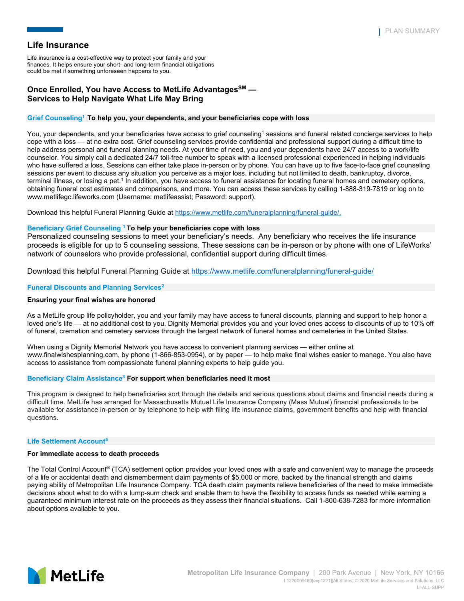Life insurance is a cost-effective way to protect your family and your finances. It helps ensure your short- and long-term financial obligations could be met if something unforeseen happens to you.

## **Once Enrolled, You have Access to MetLife AdvantagesSM — Services to Help Navigate What Life May Bring**

### **Grief Counseling1 To help you, your dependents, and your beneficiaries cope with loss**

You, your dependents, and your beneficiaries have access to grief counseling<sup>1</sup> sessions and funeral related concierge services to help cope with a loss — at no extra cost. Grief counseling services provide confidential and professional support during a difficult time to help address personal and funeral planning needs. At your time of need, you and your dependents have 24/7 access to a work/life counselor. You simply call a dedicated 24/7 toll-free number to speak with a licensed professional experienced in helping individuals who have suffered a loss. Sessions can either take place in-person or by phone. You can have up to five face-to-face grief counseling sessions per event to discuss any situation you perceive as a major loss, including but not limited to death, bankruptcy, divorce, terminal illness, or losing a pet.<sup>1</sup> In addition, you have access to funeral assistance for locating funeral homes and cemetery options, obtaining funeral cost estimates and comparisons, and more. You can access these services by calling 1-888-319-7819 or log on to www.metlifegc.lifeworks.com (Username: metlifeassist; Password: support).

Download this helpful Funeral Planning Guide at [https://www.metlife.com/funeralplanning/funeral-guide/.](https://www.metlife.com/funeralplanning/funeral-guide/)

### **Beneficiary Grief Counseling <sup>1</sup> To help your beneficiaries cope with loss**

Personalized counseling sessions to meet your beneficiary's needs. Any beneficiary who receives the life insurance proceeds is eligible for up to 5 counseling sessions. These sessions can be in-person or by phone with one of LifeWorks' network of counselors who provide professional, confidential support during difficult times.

Download this helpful Funeral Planning Guide at<https://www.metlife.com/funeralplanning/funeral-guide/>

### **Funeral Discounts and Planning Services2**

#### **Ensuring your final wishes are honored**

As a MetLife group life policyholder, you and your family may have access to funeral discounts, planning and support to help honor a loved one's life — at no additional cost to you. Dignity Memorial provides you and your loved ones access to discounts of up to 10% off of funeral, cremation and cemetery services through the largest network of funeral homes and cemeteries in the United States.

When using a Dignity Memorial Network you have access to convenient planning services — either online at www.finalwishesplanning.com, by phone (1-866-853-0954), or by paper — to help make final wishes easier to manage. You also have access to assistance from compassionate funeral planning experts to help guide you.

#### **Beneficiary Claim Assistance3 For support when beneficiaries need it most**

This program is designed to help beneficiaries sort through the details and serious questions about claims and financial needs during a difficult time. MetLife has arranged for Massachusetts Mutual Life Insurance Company (Mass Mutual) financial professionals to be available for assistance in-person or by telephone to help with filing life insurance claims, government benefits and help with financial questions.

#### **Life Settlement Account5**

#### **For immediate access to death proceeds**

The Total Control Account ® (TCA) settlement option provides your loved ones with a safe and convenient way to manage the proceeds of a life or accidental death and dismemberment claim payments of \$5,000 or more, backed by the financial strength and claims paying ability of Metropolitan Life Insurance Company. TCA death claim payments relieve beneficiaries of the need to make immediate decisions about what to do with a lump-sum check and enable them to have the flexibility to access funds as needed while earning a guaranteed minimum interest rate on the proceeds as they assess their financial situations. Call 1-800-638-7283 for more information about options available to you.

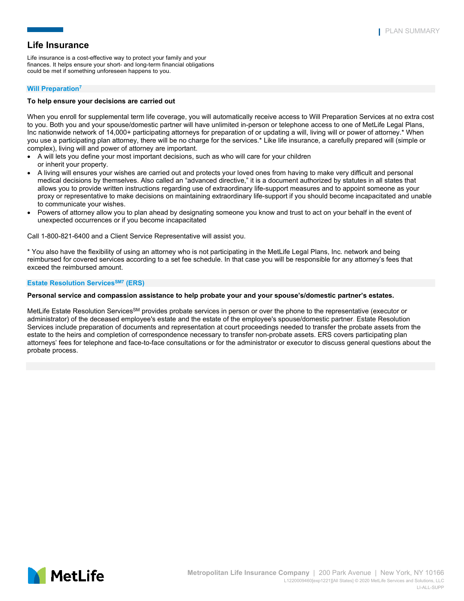Life insurance is a cost-effective way to protect your family and your finances. It helps ensure your short- and long-term financial obligations could be met if something unforeseen happens to you.

### **Will Preparation7**

### **To help ensure your decisions are carried out**

When you enroll for supplemental term life coverage, you will automatically receive access to Will Preparation Services at no extra cost to you. Both you and your spouse/domestic partner will have unlimited in-person or telephone access to one of MetLife Legal Plans, Inc nationwide network of 14,000+ participating attorneys for preparation of or updating a will, living will or power of attorney.\* When you use a participating plan attorney, there will be no charge for the services.\* Like life insurance, a carefully prepared will (simple or complex), living will and power of attorney are important.

- A will lets you define your most important decisions, such as who will care for your children or inherit your property.
- A living will ensures your wishes are carried out and protects your loved ones from having to make very difficult and personal medical decisions by themselves. Also called an "advanced directive," it is a document authorized by statutes in all states that allows you to provide written instructions regarding use of extraordinary life-support measures and to appoint someone as your proxy or representative to make decisions on maintaining extraordinary life-support if you should become incapacitated and unable to communicate your wishes.
- Powers of attorney allow you to plan ahead by designating someone you know and trust to act on your behalf in the event of unexpected occurrences or if you become incapacitated

Call 1-800-821-6400 and a Client Service Representative will assist you.

\* You also have the flexibility of using an attorney who is not participating in the MetLife Legal Plans, Inc. network and being reimbursed for covered services according to a set fee schedule. In that case you will be responsible for any attorney's fees that exceed the reimbursed amount.

#### **Estate Resolution Services<sup>SM7</sup> (ERS)**

#### **Personal service and compassion assistance to help probate your and your spouse's/domestic partner's estates.**

MetLife Estate Resolution Services<sup>SM</sup> provides probate services in person or over the phone to the representative (executor or administrator) of the deceased employee's estate and the estate of the employee's spouse/domestic partner. Estate Resolution Services include preparation of documents and representation at court proceedings needed to transfer the probate assets from the estate to the heirs and completion of correspondence necessary to transfer non-probate assets. ERS covers participating plan attorneys' fees for telephone and face-to-face consultations or for the administrator or executor to discuss general questions about the probate process.

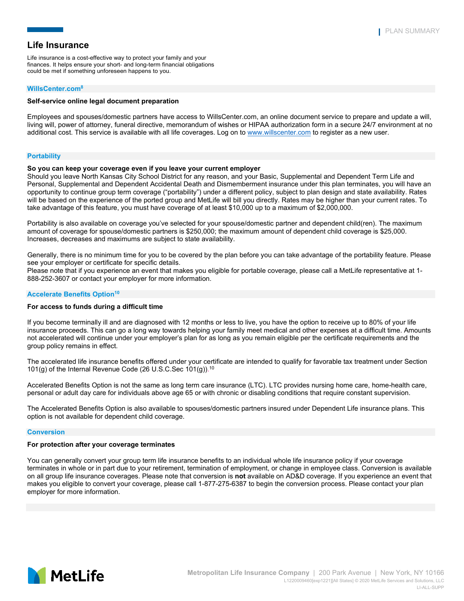Life insurance is a cost-effective way to protect your family and your finances. It helps ensure your short- and long-term financial obligations could be met if something unforeseen happens to you.

#### **WillsCenter.com8**

### **Self-service online legal document preparation**

Employees and spouses/domestic partners have access to WillsCenter.com, an online document service to prepare and update a will, living will, power of attorney, funeral directive, memorandum of wishes or HIPAA authorization form in a secure 24/7 environment at no additional cost. This service is available with all life coverages. Log on t[o www.willscenter.com](http://www.willscenter.com/) to register as a new user.

#### **Portability**

#### **So you can keep your coverage even if you leave your current employer**

Should you leave North Kansas City School District for any reason, and your Basic, Supplemental and Dependent Term Life and Personal, Supplemental and Dependent Accidental Death and Dismemberment insurance under this plan terminates, you will have an opportunity to continue group term coverage ("portability") under a different policy, subject to plan design and state availability. Rates will be based on the experience of the ported group and MetLife will bill you directly. Rates may be higher than your current rates. To take advantage of this feature, you must have coverage of at least \$10,000 up to a maximum of \$2,000,000.

Portability is also available on coverage you've selected for your spouse/domestic partner and dependent child(ren). The maximum amount of coverage for spouse/domestic partners is \$250,000; the maximum amount of dependent child coverage is \$25,000. Increases, decreases and maximums are subject to state availability.

Generally, there is no minimum time for you to be covered by the plan before you can take advantage of the portability feature. Please see your employer or certificate for specific details.

Please note that if you experience an event that makes you eligible for portable coverage, please call a MetLife representative at 1- 888-252-3607 or contact your employer for more information.

#### **Accelerate Benefits Option<sup>10</sup>**

#### **For access to funds during a difficult time**

If you become terminally ill and are diagnosed with 12 months or less to live, you have the option to receive up to 80% of your life insurance proceeds. This can go a long way towards helping your family meet medical and other expenses at a difficult time. Amounts not accelerated will continue under your employer's plan for as long as you remain eligible per the certificate requirements and the group policy remains in effect.

The accelerated life insurance benefits offered under your certificate are intended to qualify for favorable tax treatment under Section 101(g) of the Internal Revenue Code (26 U.S.C.Sec 101(g)). 10

Accelerated Benefits Option is not the same as long term care insurance (LTC). LTC provides nursing home care, home-health care, personal or adult day care for individuals above age 65 or with chronic or disabling conditions that require constant supervision.

The Accelerated Benefits Option is also available to spouses/domestic partners insured under Dependent Life insurance plans. This option is not available for dependent child coverage.

#### **Conversion**

#### **For protection after your coverage terminates**

You can generally convert your group term life insurance benefits to an individual whole life insurance policy if your coverage terminates in whole or in part due to your retirement, termination of employment, or change in employee class. Conversion is available on all group life insurance coverages. Please note that conversion is **not** available on AD&D coverage. If you experience an event that makes you eligible to convert your coverage, please call 1-877-275-6387 to begin the conversion process. Please contact your plan employer for more information.

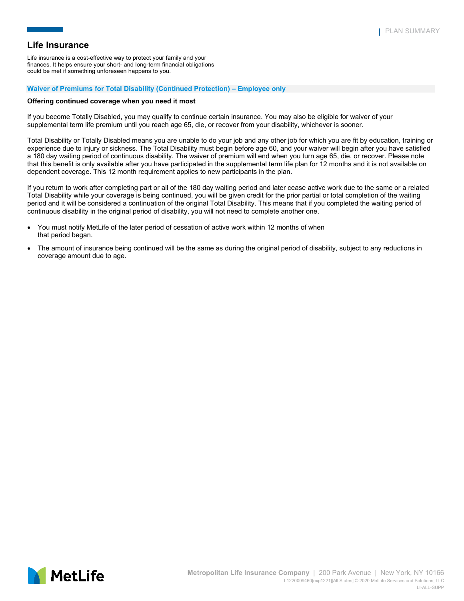Life insurance is a cost-effective way to protect your family and your finances. It helps ensure your short- and long-term financial obligations could be met if something unforeseen happens to you.

#### **Waiver of Premiums for Total Disability (Continued Protection) – Employee only**

#### **Offering continued coverage when you need it most**

If you become Totally Disabled, you may qualify to continue certain insurance. You may also be eligible for waiver of your supplemental term life premium until you reach age 65, die, or recover from your disability, whichever is sooner.

Total Disability or Totally Disabled means you are unable to do your job and any other job for which you are fit by education, training or experience due to injury or sickness. The Total Disability must begin before age 60, and your waiver will begin after you have satisfied a 180 day waiting period of continuous disability. The waiver of premium will end when you turn age 65, die, or recover. Please note that this benefit is only available after you have participated in the supplemental term life plan for 12 months and it is not available on dependent coverage. This 12 month requirement applies to new participants in the plan.

If you return to work after completing part or all of the 180 day waiting period and later cease active work due to the same or a related Total Disability while your coverage is being continued, you will be given credit for the prior partial or total completion of the waiting period and it will be considered a continuation of the original Total Disability. This means that if you completed the waiting period of continuous disability in the original period of disability, you will not need to complete another one.

- You must notify MetLife of the later period of cessation of active work within 12 months of when that period began.
- The amount of insurance being continued will be the same as during the original period of disability, subject to any reductions in coverage amount due to age.